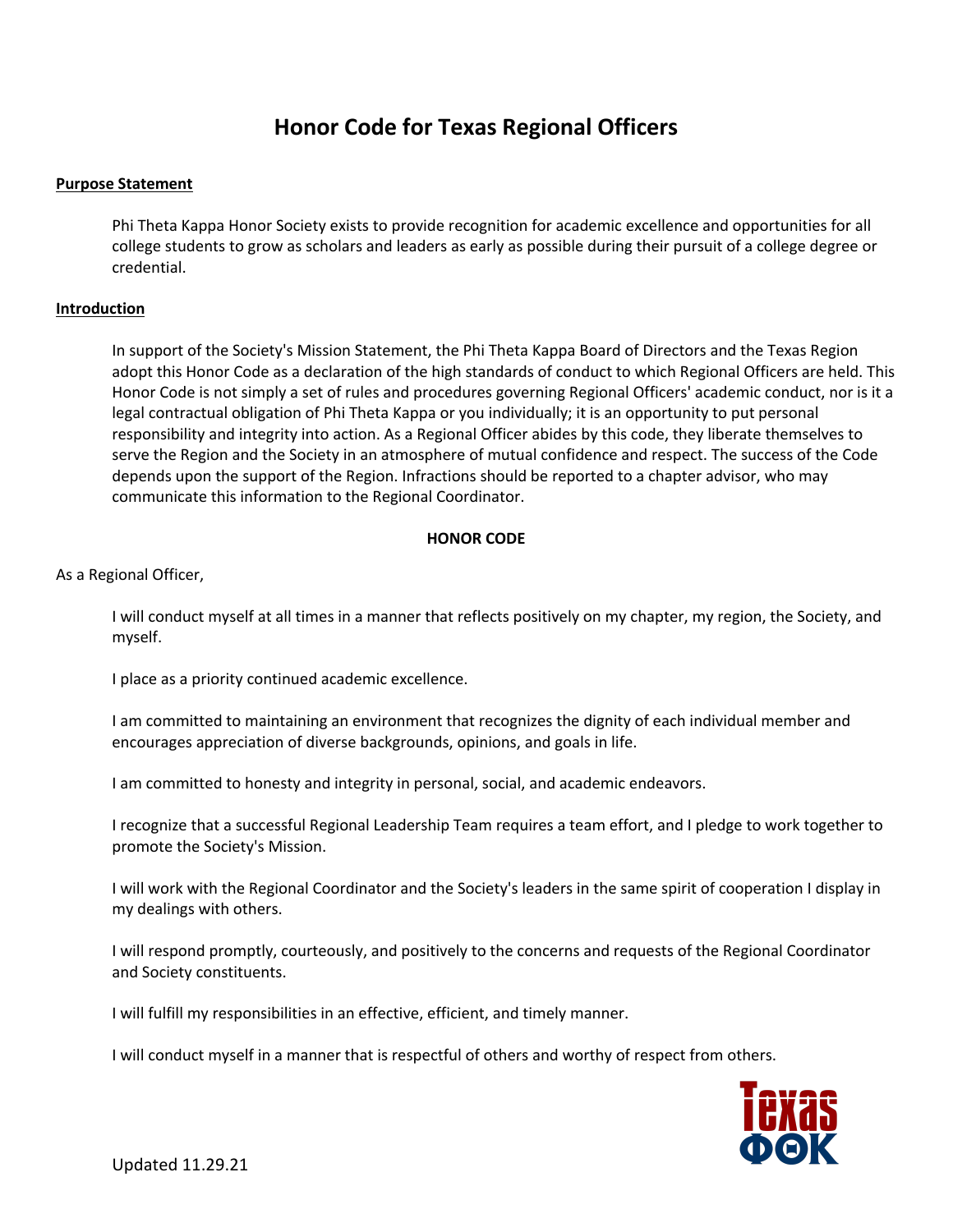## **Honor Code for Texas Regional Officers**

## **Purpose Statement**

Phi Theta Kappa Honor Society exists to provide recognition for academic excellence and opportunities for all college students to grow as scholars and leaders as early as possible during their pursuit of a college degree or credential.

## **Introduction**

In support of the Society's Mission Statement, the Phi Theta Kappa Board of Directors and the Texas Region adopt this Honor Code as a declaration of the high standards of conduct to which Regional Officers are held. This Honor Code is not simply a set of rules and procedures governing Regional Officers' academic conduct, nor is it a legal contractual obligation of Phi Theta Kappa or you individually; it is an opportunity to put personal responsibility and integrity into action. As a Regional Officer abides by this code, they liberate themselves to serve the Region and the Society in an atmosphere of mutual confidence and respect. The success of the Code depends upon the support of the Region. Infractions should be reported to a chapter advisor, who may communicate this information to the Regional Coordinator.

## **HONOR CODE**

As a Regional Officer,

I will conduct myself at all times in a manner that reflects positively on my chapter, my region, the Society, and myself.

I place as a priority continued academic excellence.

I am committed to maintaining an environment that recognizes the dignity of each individual member and encourages appreciation of diverse backgrounds, opinions, and goals in life.

I am committed to honesty and integrity in personal, social, and academic endeavors.

I recognize that a successful Regional Leadership Team requires a team effort, and I pledge to work together to promote the Society's Mission.

I will work with the Regional Coordinator and the Society's leaders in the same spirit of cooperation I display in my dealings with others.

I will respond promptly, courteously, and positively to the concerns and requests of the Regional Coordinator and Society constituents.

I will fulfill my responsibilities in an effective, efficient, and timely manner.

I will conduct myself in a manner that is respectful of others and worthy of respect from others.